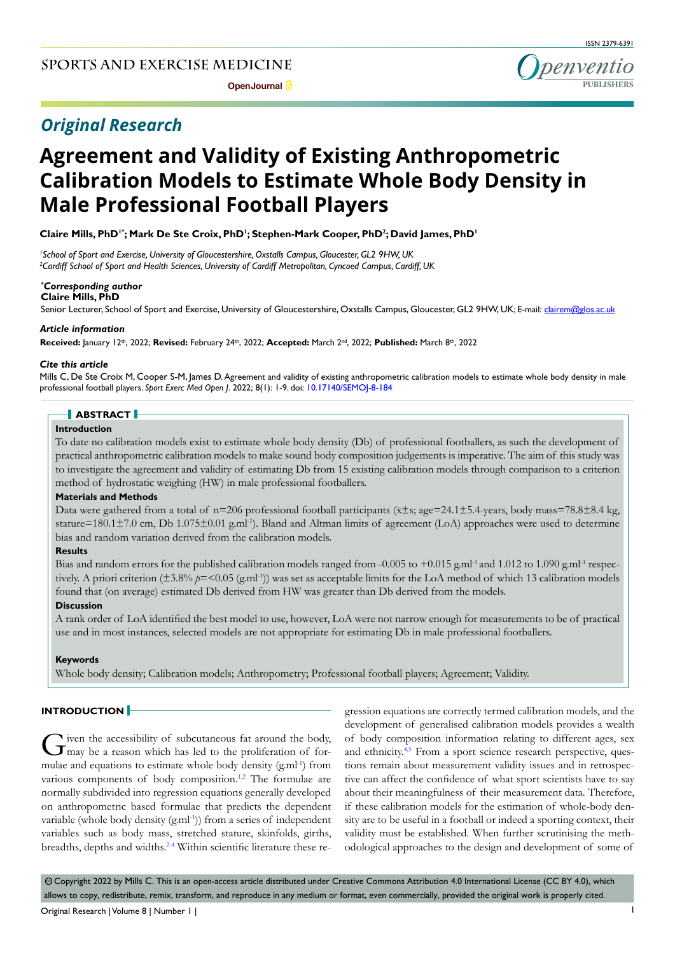# *Original Research*

ISSN 2379-6391

# **Agreement and Validity of Existing Anthropometric Calibration Models to Estimate Whole Body Density in Male Professional Football Players**

Claire Mills, PhD<sup>1</sup>'; Mark De Ste Croix, PhD<sup>1</sup>; Stephen-Mark Cooper, PhD<sup>2</sup>; David James, PhD<sup>1</sup>

*1 School of Sport and Exercise, University of Gloucestershire, Oxstalls Campus, Gloucester, GL2 9HW, UK 2 Cardiff School of Sport and Health Sciences, University of Cardiff Metropolitan, Cyncoed Campus, Cardiff, UK*

# *\* Corresponding author*

**Claire Mills, PhD**

Senior Lecturer, School of Sport and Exercise, University of Gloucestershire, Oxstalls Campus, Gloucester, GL2 9HW, UK; E-mail: clairem@glos.ac.uk

#### *Article information*

**Received:** January 12th, 2022; **Revised:** February 24th, 2022; **Accepted:** March 2nd, 2022; **Published:** March 8th, 2022

#### *Cite this article*

Mills C, De Ste Croix M, Cooper S-M, James D. Agreement and validity of existing anthropometric calibration models to estimate whole body density in male professional football players. *Sport Exerc Med Open J*. 2022; 8(1): 1-9. doi: [10.17140/SEMOJ-8-184](http://dx.doi.org/10.17140/SEMOJ-8-184)

# **ABSTRACT**

# **Introduction**

To date no calibration models exist to estimate whole body density (Db) of professional footballers, as such the development of practical anthropometric calibration models to make sound body composition judgements is imperative. The aim of this study was to investigate the agreement and validity of estimating Db from 15 existing calibration models through comparison to a criterion method of hydrostatic weighing (HW) in male professional footballers.

#### **Materials and Methods**

Data were gathered from a total of n=206 professional football participants ( $\overline{x}$ ±s; age=24.1±5.4-years, body mass=78.8±8.4 kg, stature=180.1 $\pm$ 7.0 cm, Db 1.075 $\pm$ 0.01 g.ml<sup>-1</sup>). Bland and Altman limits of agreement (LoA) approaches were used to determine bias and random variation derived from the calibration models.

#### **Results**

Bias and random errors for the published calibration models ranged from -0.005 to +0.015 g.ml<sup>-1</sup> and 1.012 to 1.090 g.ml<sup>-1</sup> respectively. A priori criterion ( $\pm 3.8\%$   $p = 0.05$  (g,ml<sup>-1</sup>)) was set as acceptable limits for the LoA method of which 13 calibration models found that (on average) estimated Db derived from HW was greater than Db derived from the models.

#### **Discussion**

A rank order of LoA identified the best model to use, however, LoA were not narrow enough for measurements to be of practical use and in most instances, selected models are not appropriate for estimating Db in male professional footballers.

#### **Keywords**

Whole body density; Calibration models; Anthropometry; Professional football players; Agreement; Validity.

#### **INTRODUCTION**

Given the accessibility of subcutaneous fat around the body, may be a reason which has led to the proliferation of formulae and equations to estimate whole body density  $(g.m<sup>1</sup>)$  from various components of body composition.<sup>1,2</sup> The formulae are normally subdivided into regression equations generally developed on anthropometric based formulae that predicts the dependent variable (whole body density  $(g.m<sup>1</sup>)$ ) from a series of independent variables such as body mass, stretched stature, skinfolds, girths, breadths, depths and widths.<sup>[2-4](#page-6-1)</sup> Within scientific literature these regression equations are correctly termed calibration models, and the development of generalised calibration models provides a wealth of body composition information relating to different ages, sex and ethnicity.<sup>4,5</sup> From a sport science research perspective, questions remain about measurement validity issues and in retrospective can affect the confidence of what sport scientists have to say about their meaningfulness of their measurement data. Therefore, if these calibration models for the estimation of whole-body density are to be useful in a football or indeed a sporting context, their validity must be established. When further scrutinising the methodological approaches to the design and development of some of

© Copyright 2022 by Mills C. This is an open-access article distributed under Creative Commons Attribution 4.0 International License (CC BY 4.0), which allows to copy, redistribute, remix, transform, and reproduce in any medium or format, even commercially, provided the original work is properly cited.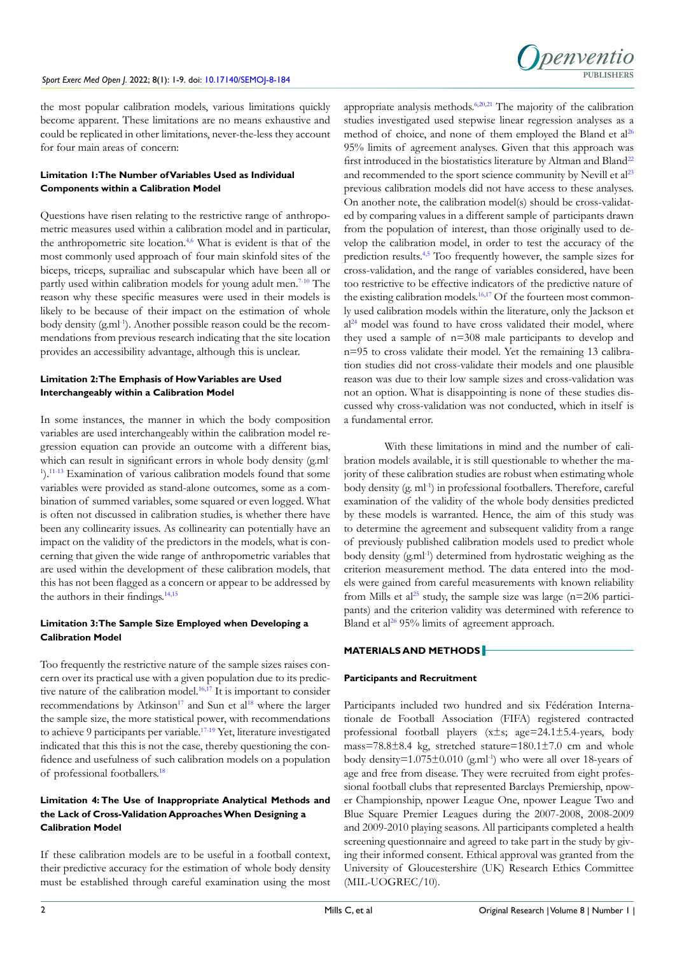

the most popular calibration models, various limitations quickly become apparent. These limitations are no means exhaustive and could be replicated in other limitations, never-the-less they account for four main areas of concern:

# **Limitation 1: The Number of Variables Used as Individual Components within a Calibration Model**

Questions have risen relating to the restrictive range of anthropometric measures used within a calibration model and in particular, the anthropometric site location[.4,](#page-6-2)[6](#page-6-3) What is evident is that of the most commonly used approach of four main skinfold sites of the biceps, triceps, suprailiac and subscapular which have been all or partly used within calibration models for young adult men.<sup>7-10</sup> The reason why these specific measures were used in their models is likely to be because of their impact on the estimation of whole body density (g.ml<sup>-1</sup>). Another possible reason could be the recommendations from previous research indicating that the site location provides an accessibility advantage, although this is unclear.

# **Limitation 2: The Emphasis of How Variables are Used Interchangeably within a Calibration Model**

In some instances, the manner in which the body composition variables are used interchangeably within the calibration model regression equation can provide an outcome with a different bias, which can result in significant errors in whole body density (g.ml-<sup>1</sup>).<sup>11-13</sup> Examination of various calibration models found that some variables were provided as stand-alone outcomes, some as a combination of summed variables, some squared or even logged. What is often not discussed in calibration studies, is whether there have been any collinearity issues. As collinearity can potentially have an impact on the validity of the predictors in the models, what is concerning that given the wide range of anthropometric variables that are used within the development of these calibration models, that this has not been flagged as a concern or appear to be addressed by the authors in their findings.<sup>[14,15](#page-7-0)</sup>

# **Limitation 3: The Sample Size Employed when Developing a Calibration Model**

Too frequently the restrictive nature of the sample sizes raises concern over its practical use with a given population due to its predic-tive nature of the calibration model.<sup>[16,17](#page-7-1)</sup> It is important to consider recommendations by Atkinson<sup>[17](#page-7-2)</sup> and Sun et al<sup>18</sup> where the larger the sample size, the more statistical power, with recommendations to achieve 9 participants per variable.<sup>17-19</sup> Yet, literature investigated indicated that this this is not the case, thereby questioning the confidence and usefulness of such calibration models on a population of professional footballers[.18](#page-7-3)

# **Limitation 4: The Use of Inappropriate Analytical Methods and the Lack of Cross-Validation Approaches When Designing a Calibration Model**

If these calibration models are to be useful in a football context, their predictive accuracy for the estimation of whole body density must be established through careful examination using the most

appropriate analysis methods.<sup>6,20,21</sup> The majority of the calibration studies investigated used stepwise linear regression analyses as a method of choice, and none of them employed the Bland et al<sup>[26](#page-7-5)</sup> 95% limits of agreement analyses. Given that this approach was first introduced in the biostatistics literature by Altman and Bland<sup>[22](#page-7-6)</sup> and recommended to the sport science community by Nevill et  $al<sup>23</sup>$  $al<sup>23</sup>$  $al<sup>23</sup>$ previous calibration models did not have access to these analyses. On another note, the calibration model(s) should be cross-validated by comparing values in a different sample of participants drawn from the population of interest, than those originally used to develop the calibration model, in order to test the accuracy of the prediction results.[4,5](#page-6-2) Too frequently however, the sample sizes for cross-validation, and the range of variables considered, have been too restrictive to be effective indicators of the predictive nature of the existing calibration models.<sup>16,17</sup> Of the fourteen most commonly used calibration models within the literature, only the Jackson et  $al<sup>24</sup>$  $al<sup>24</sup>$  $al<sup>24</sup>$  model was found to have cross validated their model, where they used a sample of n=308 male participants to develop and n=95 to cross validate their model. Yet the remaining 13 calibration studies did not cross-validate their models and one plausible reason was due to their low sample sizes and cross-validation was not an option. What is disappointing is none of these studies discussed why cross-validation was not conducted, which in itself is a fundamental error.

With these limitations in mind and the number of calibration models available, it is still questionable to whether the majority of these calibration studies are robust when estimating whole body density (g. ml<sup>-1</sup>) in professional footballers. Therefore, careful examination of the validity of the whole body densities predicted by these models is warranted. Hence, the aim of this study was to determine the agreement and subsequent validity from a range of previously published calibration models used to predict whole body density (g.ml-1) determined from hydrostatic weighing as the criterion measurement method. The data entered into the models were gained from careful measurements with known reliability from Mills et al<sup>25</sup> study, the sample size was large ( $n=206$  participants) and the criterion validity was determined with reference to Bland et al<sup>26</sup> 95% limits of agreement approach.

# **MATERIALS AND METHODS**

#### **Participants and Recruitment**

Participants included two hundred and six Fédération Internationale de Football Association (FIFA) registered contracted professional football players  $(\overline{x} \pm s; \text{ age}=24.1 \pm 5.4\text{-years}, \text{ body})$ mass=78.8±8.4 kg, stretched stature=180.1±7.0 cm and whole body density= $1.075\pm0.010$  (g.ml<sup>-1</sup>) who were all over 18-years of age and free from disease. They were recruited from eight professional football clubs that represented Barclays Premiership, npower Championship, npower League One, npower League Two and Blue Square Premier Leagues during the 2007-2008, 2008-2009 and 2009-2010 playing seasons. All participants completed a health screening questionnaire and agreed to take part in the study by giving their informed consent. Ethical approval was granted from the University of Gloucestershire (UK) Research Ethics Committee (MIL-UOGREC/10).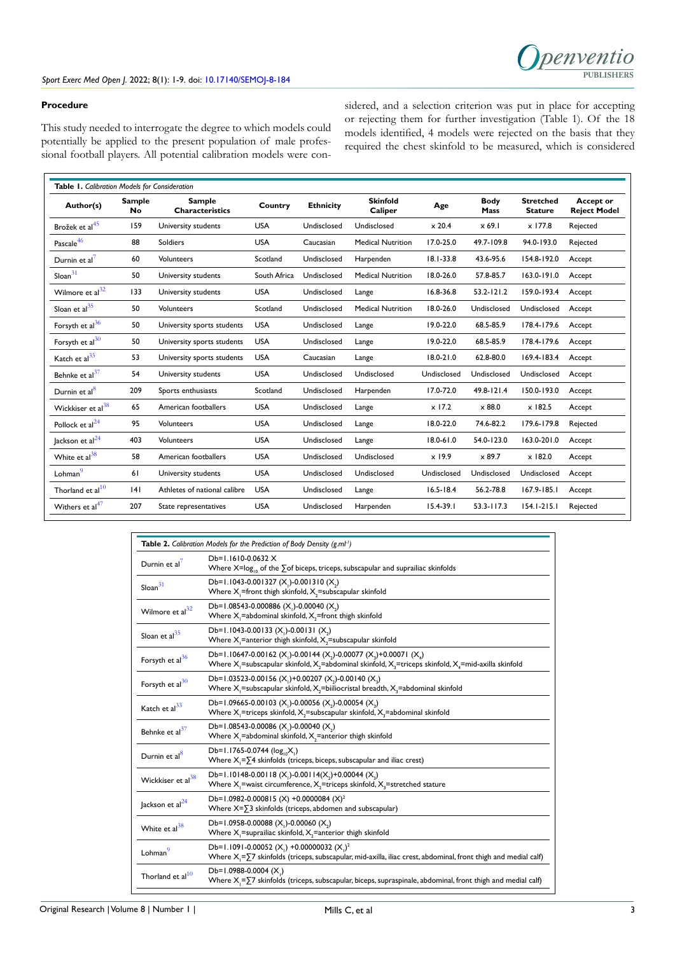

### **Procedure**

This study needed to interrogate the degree to which models could potentially be applied to the present population of male professional football players. All potential calibration models were considered, and a selection criterion was put in place for accepting or rejecting them for further investigation (Table 1). Of the 18 models identified, 4 models were rejected on the basis that they required the chest skinfold to be measured, which is considered

| Table 1. Calibration Models for Consideration |                     |                                         |              |                  |                            |                              |                              |                                    |                                         |
|-----------------------------------------------|---------------------|-----------------------------------------|--------------|------------------|----------------------------|------------------------------|------------------------------|------------------------------------|-----------------------------------------|
| Author(s)                                     | <b>Sample</b><br>No | <b>Sample</b><br><b>Characteristics</b> | Country      | <b>Ethnicity</b> | <b>Skinfold</b><br>Caliper | Age                          | <b>Body</b><br>Mass          | <b>Stretched</b><br><b>Stature</b> | <b>Accept or</b><br><b>Reject Model</b> |
| Brožek et al <sup>45</sup>                    | 159                 | University students                     | <b>USA</b>   | Undisclosed      | Undisclosed                | $\overline{\times}$ 20.4     | $\overline{\mathbf{x}}$ 69.1 | $\overline{x}$ 177.8               | Rejected                                |
| Pascale <sup>46</sup>                         | 88                  | <b>Soldiers</b>                         | <b>USA</b>   | Caucasian        | <b>Medical Nutrition</b>   | 17.0-25.0                    | 49.7-109.8                   | 94.0-193.0                         | Rejected                                |
| Durnin et al <sup>7</sup>                     | 60                  | <b>Volunteers</b>                       | Scotland     | Undisclosed      | Harpenden                  | $18.1 - 33.8$                | 43.6-95.6                    | 154.8-192.0                        | Accept                                  |
| $S$ loan $31$                                 | 50                  | University students                     | South Africa | Undisclosed      | <b>Medical Nutrition</b>   | 18.0-26.0                    | 57.8-85.7                    | 163.0-191.0                        | Accept                                  |
| Wilmore et al <sup>32</sup>                   | 133                 | University students                     | <b>USA</b>   | Undisclosed      | Lange                      | 16.8-36.8                    | 53.2-121.2                   | 159.0-193.4                        | Accept                                  |
| Sloan et $al35$                               | 50                  | <b>Volunteers</b>                       | Scotland     | Undisclosed      | <b>Medical Nutrition</b>   | 18.0-26.0                    | Undisclosed                  | Undisclosed                        | Accept                                  |
| Forsyth et $al^{36}$                          | 50                  | University sports students              | <b>USA</b>   | Undisclosed      | Lange                      | 19.0-22.0                    | 68.5-85.9                    | 178.4-179.6                        | Accept                                  |
| Forsyth et $al^{30}$                          | 50                  | University sports students              | <b>USA</b>   | Undisclosed      | Lange                      | 19.0-22.0                    | 68.5-85.9                    | 178.4-179.6                        | Accept                                  |
| Katch et al <sup>33</sup>                     | 53                  | University sports students              | <b>USA</b>   | Caucasian        | Lange                      | $18.0 - 21.0$                | 62.8-80.0                    | 169.4-183.4                        | Accept                                  |
| Behnke et al <sup>37</sup>                    | 54                  | University students                     | <b>USA</b>   | Undisclosed      | Undisclosed                | Undisclosed                  | Undisclosed                  | Undisclosed                        | Accept                                  |
| Durnin et al <sup>8</sup>                     | 209                 | Sports enthusiasts                      | Scotland     | Undisclosed      | Harpenden                  | 17.0-72.0                    | 49.8-121.4                   | 150.0-193.0                        | Accept                                  |
| Wickkiser et al <sup>38</sup>                 | 65                  | American footballers                    | <b>USA</b>   | Undisclosed      | Lange                      | $\overline{\mathsf{x}}$ 17.2 | $\overline{\mathsf{x}}$ 88.0 | $\overline{x}$ 182.5               | Accept                                  |
| Pollock et $al24$                             | 95                  | <b>Volunteers</b>                       | <b>USA</b>   | Undisclosed      | Lange                      | 18.0-22.0                    | 74.6-82.2                    | 179.6-179.8                        | Rejected                                |
| Jackson et al <sup>24</sup>                   | 403                 | <b>Volunteers</b>                       | <b>USA</b>   | Undisclosed      | Lange                      | $18.0 - 61.0$                | 54.0-123.0                   | 163.0-201.0                        | Accept                                  |
| White et $al38$                               | 58                  | American footballers                    | <b>USA</b>   | Undisclosed      | Undisclosed                | $\overline{\mathbf{x}}$ 19.9 | $\overline{\mathsf{x}}$ 89.7 | $\overline{\times}$ 182.0          | Accept                                  |
| Lohman <sup>9</sup>                           | 61                  | University students                     | <b>USA</b>   | Undisclosed      | Undisclosed                | Undisclosed                  | Undisclosed                  | Undisclosed                        | Accept                                  |
| Thorland et $al^{10}$                         | 4                   | Athletes of national calibre            | <b>USA</b>   | Undisclosed      | Lange                      | $16.5 - 18.4$                | 56.2-78.8                    | $167.9 - 185.1$                    | Accept                                  |
| Withers et al <sup>47</sup>                   | 207                 | State representatives                   | <b>USA</b>   | Undisclosed      | Harpenden                  | $15.4 - 39.1$                | $53.3 - 117.3$               | $154.1 - 215.1$                    | Rejected                                |
|                                               |                     |                                         |              |                  |                            |                              |                              |                                    |                                         |

| <b>Table 2.</b> Calibration Models for the Prediction of Body Density (g.ml <sup>1</sup> ) |                                                                                                                                                                                                                                         |  |  |  |
|--------------------------------------------------------------------------------------------|-----------------------------------------------------------------------------------------------------------------------------------------------------------------------------------------------------------------------------------------|--|--|--|
| Durnin et al'                                                                              | $Db=1.1610-0.0632$ X<br>Where $X = \log_{10}$ of the $\sum$ of biceps, triceps, subscapular and suprailiac skinfolds                                                                                                                    |  |  |  |
| $S$ loan $31$                                                                              | Db=1.1043-0.001327 (X)-0.001310 (X)<br>Where $X_i$ =front thigh skinfold, $X_i$ =subscapular skinfold                                                                                                                                   |  |  |  |
| Wilmore et al <sup>32</sup>                                                                | Db=1.08543-0.000886 (X,)-0.00040 (X,)<br>Where $X$ = abdominal skinfold, $X$ = front thigh skinfold                                                                                                                                     |  |  |  |
| Sloan et al $^{35}$                                                                        | Db=1.1043-0.00133 (X,)-0.00131 (X,)<br>Where $X$ = anterior thigh skinfold, $X$ = subscapular skinfold                                                                                                                                  |  |  |  |
| Forsyth et al <sup>36</sup>                                                                | Db=1.10647-0.00162 (X <sub>1</sub> )-0.00144 (X <sub>2</sub> )-0.00077 (X <sub>2</sub> )+0.00071 (X <sub>4</sub> )<br>Where $X_i$ =subscapular skinfold, $X_i$ =abdominal skinfold, $X_i$ =triceps skinfold, $X_i$ =mid-axilla skinfold |  |  |  |
| Forsyth et al $^{30}$                                                                      | Db=1.03523-0.00156 (X, )+0.00207 (X, )-0.00140 (X,)<br>Where $X$ =subscapular skinfold, $X$ =biiliocristal breadth, $X$ =abdominal skinfold                                                                                             |  |  |  |
| Katch et $a^{33}$                                                                          | Db=1.09665-0.00103 (X,)-0.00056 (X,)-0.00054 (X,)<br>Where $X$ =triceps skinfold, $X$ =subscapular skinfold, $X$ =abdominal skinfold                                                                                                    |  |  |  |
| Behnke et al $37$                                                                          | Db=1.08543-0.00086 (X,)-0.00040 (X,)<br>Where $X_i$ = abdominal skinfold, $X_i$ = anterior thigh skinfold                                                                                                                               |  |  |  |
| Durnin et al <sup>8</sup>                                                                  | Db=1.1765-0.0744 ( $log_{10}X$ .)<br>Where $X = \sum 4$ skinfolds (triceps, biceps, subscapular and iliac crest)                                                                                                                        |  |  |  |
| Wickkiser et al <sup>38</sup>                                                              | Db=1.10148-0.00118 (X,)-0.00114(X,)+0.00044 (X,)<br>Where $X_i$ = waist circumference, $X_i$ = triceps skinfold, $X_i$ = stretched stature                                                                                              |  |  |  |
| Jackson et $al24$                                                                          | Db=1.0982-0.000815 (X) +0.0000084 (X) <sup>2</sup><br>Where $X=\sqrt{3}$ skinfolds (triceps, abdomen and subscapular)                                                                                                                   |  |  |  |
| White et $a^{38}$                                                                          | Db=1.0958-0.00088 (X,)-0.00060 (X,)<br>Where $X$ -suprailiac skinfold, $X$ -anterior thigh skinfold                                                                                                                                     |  |  |  |
| Lohman                                                                                     | Db=1.1091-0.00052 (X,) +0.00000032 (X,) <sup>2</sup><br>Where $X_i = \sum 7$ skinfolds (triceps, subscapular, mid-axilla, iliac crest, abdominal, front thigh and medial calf)                                                          |  |  |  |
| Thorland et al $10$                                                                        | Db=1.0988-0.0004 $(X1)$<br>Where $X_i = \sum 7$ skinfolds (triceps, subscapular, biceps, supraspinale, abdominal, front thigh and medial calf)                                                                                          |  |  |  |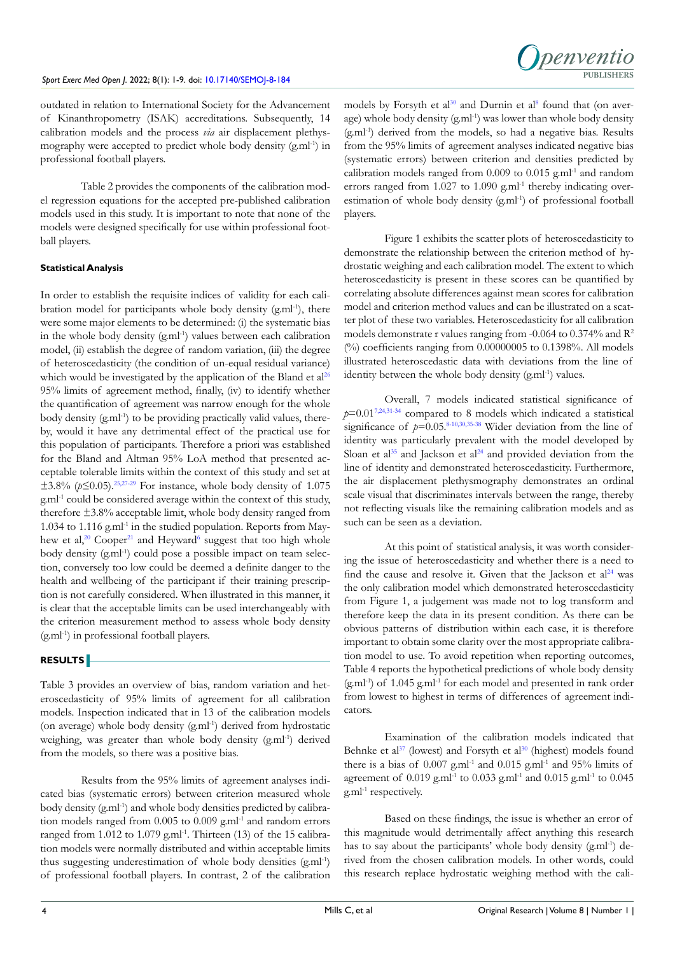

outdated in relation to International Society for the Advancement of Kinanthropometry (ISAK) accreditations. Subsequently, 14 calibration models and the process *via* air displacement plethysmography were accepted to predict whole body density (g.ml-1) in professional football players.

Table 2 provides the components of the calibration model regression equations for the accepted pre-published calibration models used in this study. It is important to note that none of the models were designed specifically for use within professional football players.

# **Statistical Analysis**

In order to establish the requisite indices of validity for each calibration model for participants whole body density (g.ml-1), there were some major elements to be determined: (i) the systematic bias in the whole body density (g.ml<sup>-1</sup>) values between each calibration model, (ii) establish the degree of random variation, (iii) the degree of heteroscedasticity (the condition of un-equal residual variance) which would be investigated by the application of the Bland et al<sup>[26](#page-7-5)</sup> 95% limits of agreement method, finally, (iv) to identify whether the quantification of agreement was narrow enough for the whole body density  $(g.m<sup>1</sup>)$  to be providing practically valid values, thereby, would it have any detrimental effect of the practical use for this population of participants. Therefore a priori was established for the Bland and Altman 95% LoA method that presented acceptable tolerable limits within the context of this study and set at  $±3.8%$  ( $p≤0.05$ ).<sup>[25,](#page-7-9)27-29</sup> For instance, whole body density of 1.075 g.ml-1 could be considered average within the context of this study, therefore ±3.8% acceptable limit, whole body density ranged from 1.034 to 1.116 g.ml<sup>-1</sup> in the studied population. Reports from May-hew et al,<sup>20</sup> Cooper<sup>21</sup> and Heyward<sup>[6](#page-6-3)</sup> suggest that too high whole body density (g.ml<sup>-1</sup>) could pose a possible impact on team selection, conversely too low could be deemed a definite danger to the health and wellbeing of the participant if their training prescription is not carefully considered. When illustrated in this manner, it is clear that the acceptable limits can be used interchangeably with the criterion measurement method to assess whole body density  $(g.m<sup>1</sup>)$  in professional football players.

# **RESULTS**

Table 3 provides an overview of bias, random variation and heteroscedasticity of 95% limits of agreement for all calibration models. Inspection indicated that in 13 of the calibration models (on average) whole body density (g.ml-1) derived from hydrostatic weighing, was greater than whole body density (g.ml<sup>-1</sup>) derived from the models, so there was a positive bias.

Results from the 95% limits of agreement analyses indicated bias (systematic errors) between criterion measured whole body density (g.ml<sup>-1</sup>) and whole body densities predicted by calibration models ranged from 0.005 to 0.009 g.ml<sup>-1</sup> and random errors ranged from 1.012 to 1.079 g.ml<sup>-1</sup>. Thirteen (13) of the 15 calibration models were normally distributed and within acceptable limits thus suggesting underestimation of whole body densities (g.ml-1) of professional football players. In contrast, 2 of the calibration

models by Forsyth et al<sup>30</sup> and Durnin et al<sup>8</sup> found that (on average) whole body density (g.ml<sup>-1</sup>) was lower than whole body density (g.ml-1) derived from the models, so had a negative bias. Results from the 95% limits of agreement analyses indicated negative bias (systematic errors) between criterion and densities predicted by calibration models ranged from  $0.009$  to  $0.015$  g.ml<sup>-1</sup> and random errors ranged from  $1.027$  to  $1.090$  g.ml<sup>-1</sup> thereby indicating overestimation of whole body density (g.ml<sup>-1</sup>) of professional football players.

Figure 1 exhibits the scatter plots of heteroscedasticity to demonstrate the relationship between the criterion method of hydrostatic weighing and each calibration model. The extent to which heteroscedasticity is present in these scores can be quantified by correlating absolute differences against mean scores for calibration model and criterion method values and can be illustrated on a scatter plot of these two variables. Heteroscedasticity for all calibration models demonstrate r values ranging from -0.064 to 0.374% and  $\mathbb{R}^2$ (%) coefficients ranging from 0.00000005 to 0.1398%. All models illustrated heteroscedastic data with deviations from the line of identity between the whole body density (g.ml<sup>-1</sup>) values.

Overall, 7 models indicated statistical significance of  $p=0.01^{7,24,31-34}$  $p=0.01^{7,24,31-34}$  $p=0.01^{7,24,31-34}$  compared to 8 models which indicated a statistical significance of  $p=0.05$ .<sup>[8-10,](#page-6-6)[30,](#page-7-14)35-38</sup> Wider deviation from the line of identity was particularly prevalent with the model developed by Sloan et al<sup>[35](#page-7-12)</sup> and Jackson et al<sup>[24](#page-7-8)</sup> and provided deviation from the line of identity and demonstrated heteroscedasticity. Furthermore, the air displacement plethysmography demonstrates an ordinal scale visual that discriminates intervals between the range, thereby not reflecting visuals like the remaining calibration models and as such can be seen as a deviation.

At this point of statistical analysis, it was worth considering the issue of heteroscedasticity and whether there is a need to find the cause and resolve it. Given that the Jackson et  $al<sup>24</sup>$  $al<sup>24</sup>$  $al<sup>24</sup>$  was the only calibration model which demonstrated heteroscedasticity from Figure 1, a judgement was made not to log transform and therefore keep the data in its present condition. As there can be obvious patterns of distribution within each case, it is therefore important to obtain some clarity over the most appropriate calibration model to use. To avoid repetition when reporting outcomes, Table 4 reports the hypothetical predictions of whole body density  $(g.m<sup>1</sup>)$  of 1.045  $g.m<sup>1</sup>$  for each model and presented in rank order from lowest to highest in terms of differences of agreement indicators.

Examination of the calibration models indicated that Behnke et  $al^{37}$  (lowest) and Forsyth et  $al^{30}$  $al^{30}$  $al^{30}$  (highest) models found there is a bias of  $0.007$  g.ml<sup>-1</sup> and  $0.015$  g.ml<sup>-1</sup> and  $95%$  limits of agreement of  $0.019$  g.ml<sup>-1</sup> to  $0.033$  g.ml<sup>-1</sup> and  $0.015$  g.ml<sup>-1</sup> to  $0.045$ g.ml-1 respectively.

Based on these findings, the issue is whether an error of this magnitude would detrimentally affect anything this research has to say about the participants' whole body density (g.ml<sup>-1</sup>) derived from the chosen calibration models. In other words, could this research replace hydrostatic weighing method with the cali-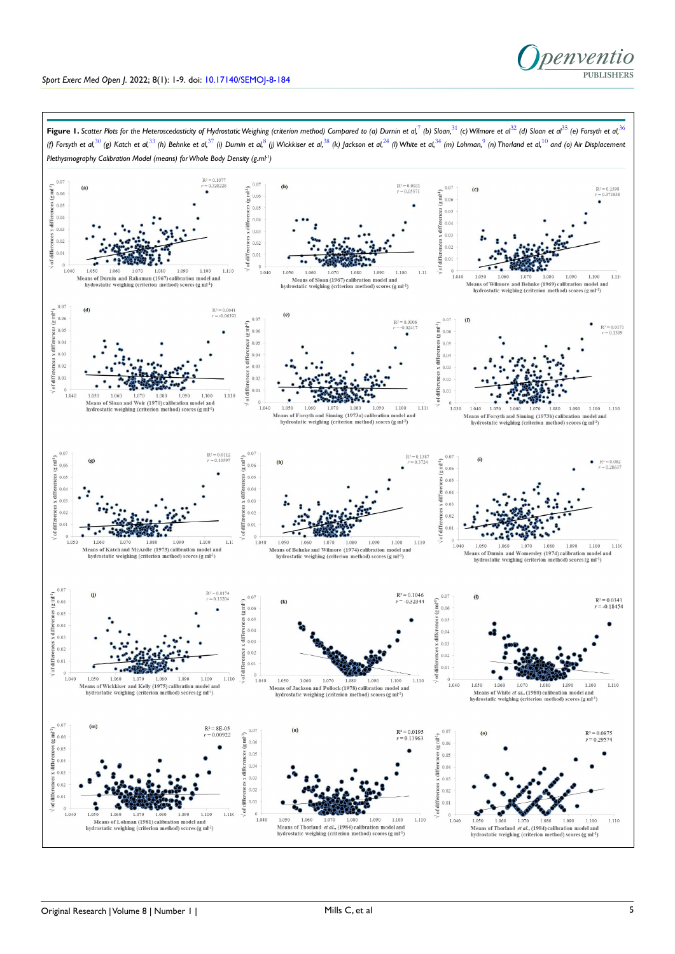

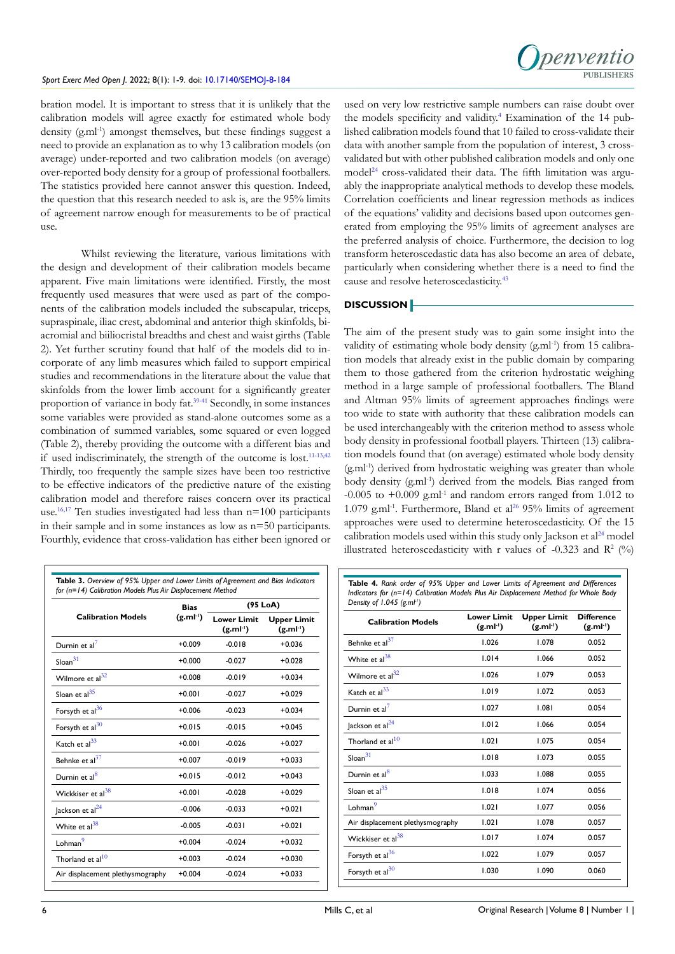## Sport Exerc Med Open *J.* 2022; 8(1): 1-9. doi: [10.17140/SEMOJ-8-184](http://dx.doi.org/10.17140/SEMOJ-8-184)



bration model. It is important to stress that it is unlikely that the calibration models will agree exactly for estimated whole body density (g.ml<sup>-1</sup>) amongst themselves, but these findings suggest a need to provide an explanation as to why 13 calibration models (on average) under-reported and two calibration models (on average) over-reported body density for a group of professional footballers. The statistics provided here cannot answer this question. Indeed, the question that this research needed to ask is, are the 95% limits of agreement narrow enough for measurements to be of practical use.

Whilst reviewing the literature, various limitations with the design and development of their calibration models became apparent. Five main limitations were identified. Firstly, the most frequently used measures that were used as part of the components of the calibration models included the subscapular, triceps, supraspinale, iliac crest, abdominal and anterior thigh skinfolds, biacromial and biiliocristal breadths and chest and waist girths (Table 2). Yet further scrutiny found that half of the models did to incorporate of any limb measures which failed to support empirical studies and recommendations in the literature about the value that skinfolds from the lower limb account for a significantly greater proportion of variance in body fat[.39-41](#page-7-21) Secondly, in some instances some variables were provided as stand-alone outcomes some as a combination of summed variables, some squared or even logged (Table 2), thereby providing the outcome with a different bias and if used indiscriminately, the strength of the outcome is lost.<sup>11-13,42</sup> Thirdly, too frequently the sample sizes have been too restrictive to be effective indicators of the predictive nature of the existing calibration model and therefore raises concern over its practical use.<sup>16,17</sup> Ten studies investigated had less than  $n=100$  participants in their sample and in some instances as low as n=50 participants. Fourthly, evidence that cross-validation has either been ignored or

|                                  | <b>Bias</b><br>$(g.ml-1)$ | (95 LoA)                            |                                     |  |  |
|----------------------------------|---------------------------|-------------------------------------|-------------------------------------|--|--|
| <b>Calibration Models</b>        |                           | <b>Lower Limit</b><br>$(g.ml^{-1})$ | <b>Upper Limit</b><br>$(g.ml^{-1})$ |  |  |
| Durnin et al <sup>7</sup>        | $+0.009$                  | $-0.018$                            | $+0.036$                            |  |  |
| $S$ loan $31$                    | $+0.000$                  | $-0.027$                            | $+0.028$                            |  |  |
| Wilmore et al <sup>32</sup>      | $+0.008$                  | $-0.019$                            | $+0.034$                            |  |  |
| Sloan et $al35$                  | $+0.001$                  | $-0.027$                            | $+0.029$                            |  |  |
| Forsyth et al <sup>36</sup>      | $+0.006$                  | $-0.023$                            | $+0.034$                            |  |  |
| Forsyth et al <sup>30</sup>      | $+0.015$                  | $-0.015$                            | $+0.045$                            |  |  |
| Katch et al <sup>33</sup>        | $+0.001$                  | $-0.026$                            | $+0.027$                            |  |  |
| Behnke et al <sup>37</sup>       | $+0.007$                  | $-0.019$                            | $+0.033$                            |  |  |
| Durnin et al <sup>8</sup>        | $+0.015$                  | $-0.012$                            | $+0.043$                            |  |  |
| Wickkiser et al <sup>38</sup>    | $+0.001$                  | $-0.028$                            | $+0.029$                            |  |  |
| Jackson et al <sup>24</sup>      | $-0.006$                  | $-0.033$                            | $+0.021$                            |  |  |
| White et $al^{38}$               | $-0.005$                  | $-0.031$                            | $+0.021$                            |  |  |
| Lohman <sup>9</sup>              | $+0.004$                  | $-0.024$                            | $+0.032$                            |  |  |
| Thorland et al <sup>10</sup>     | $+0.003$                  | $-0.024$                            | $+0.030$                            |  |  |
| Air displacement plethysmography | $+0.004$                  | $-0.024$                            | $+0.033$                            |  |  |

used on very low restrictive sample numbers can raise doubt over the models specificity and validity.<sup>[4](#page-6-2)</sup> Examination of the 14 published calibration models found that 10 failed to cross-validate their data with another sample from the population of interest, 3 crossvalidated but with other published calibration models and only one  $model<sup>24</sup>$  $model<sup>24</sup>$  $model<sup>24</sup>$  cross-validated their data. The fifth limitation was arguably the inappropriate analytical methods to develop these models. Correlation coefficients and linear regression methods as indices of the equations' validity and decisions based upon outcomes generated from employing the 95% limits of agreement analyses are the preferred analysis of choice. Furthermore, the decision to log transform heteroscedastic data has also become an area of debate, particularly when considering whether there is a need to find the cause and resolve heteroscedasticity.<sup>43</sup>

# **DISCUSSION**

The aim of the present study was to gain some insight into the validity of estimating whole body density  $(g.m<sup>1</sup>)$  from 15 calibration models that already exist in the public domain by comparing them to those gathered from the criterion hydrostatic weighing method in a large sample of professional footballers. The Bland and Altman 95% limits of agreement approaches findings were too wide to state with authority that these calibration models can be used interchangeably with the criterion method to assess whole body density in professional football players. Thirteen (13) calibration models found that (on average) estimated whole body density (g.ml-1) derived from hydrostatic weighing was greater than whole body density (g.ml<sup>-1</sup>) derived from the models. Bias ranged from -0.005 to  $+0.009$  g.ml<sup>-1</sup> and random errors ranged from 1.012 to 1.079 g.ml<sup>-1</sup>. Furthermore, Bland et al<sup>26</sup> 95% limits of agreement approaches were used to determine heteroscedasticity. Of the 15 calibration models used within this study only Jackson et  $al<sup>24</sup>$  $al<sup>24</sup>$  $al<sup>24</sup>$  model illustrated heteroscedasticity with r values of -0.323 and  $R^2$  (%)

**Table 4.** *Rank order of 95% Upper and Lower Limits of Agreement and Differences Indicators for (n=14) Calibration Models Plus Air Displacement Method for Whole Body Density of 1.045 (g.ml-1)*

| <b>Calibration Models</b>        | <b>Lower Limit</b><br>$(g.mI+)$ | <b>Upper Limit</b><br>(g.mI <sup>1</sup> ) | <b>Difference</b><br>(g.mI <sup>1</sup> ) |
|----------------------------------|---------------------------------|--------------------------------------------|-------------------------------------------|
| Behnke et al <sup>37</sup>       | 1.026                           | 1.078                                      | 0.052                                     |
| White et $al^{38}$               | 1.014                           | 1.066                                      | 0.052                                     |
| Wilmore et al <sup>32</sup>      | 1.026                           | 1.079                                      | 0.053                                     |
| Katch et al <sup>33</sup>        | 1.019                           | 1.072                                      | 0.053                                     |
| Durnin et al $7$                 | 1.027                           | 1.081                                      | 0.054                                     |
| Jackson et al <sup>24</sup>      | 1.012                           | 1.066                                      | 0.054                                     |
| Thorland et $al^{10}$            | 1.021                           | 1.075                                      | 0.054                                     |
| $S$ loan $31$                    | 1.018                           | 1.073                                      | 0.055                                     |
| Durnin et al <sup>8</sup>        | 1.033                           | 1.088                                      | 0.055                                     |
| Sloan et al <sup>35</sup>        | 1.018                           | 1.074                                      | 0.056                                     |
| Lohman <sup>9</sup>              | 1.021                           | 1.077                                      | 0.056                                     |
| Air displacement plethysmography | 1.021                           | 1.078                                      | 0.057                                     |
| Wickkiser et al $^{38}$          | 1.017                           | 1.074                                      | 0.057                                     |
| Forsyth et al <sup>36</sup>      | 1.022                           | 1.079                                      | 0.057                                     |
| Forsyth et al <sup>30</sup>      | 1.030                           | 1.090                                      | 0.060                                     |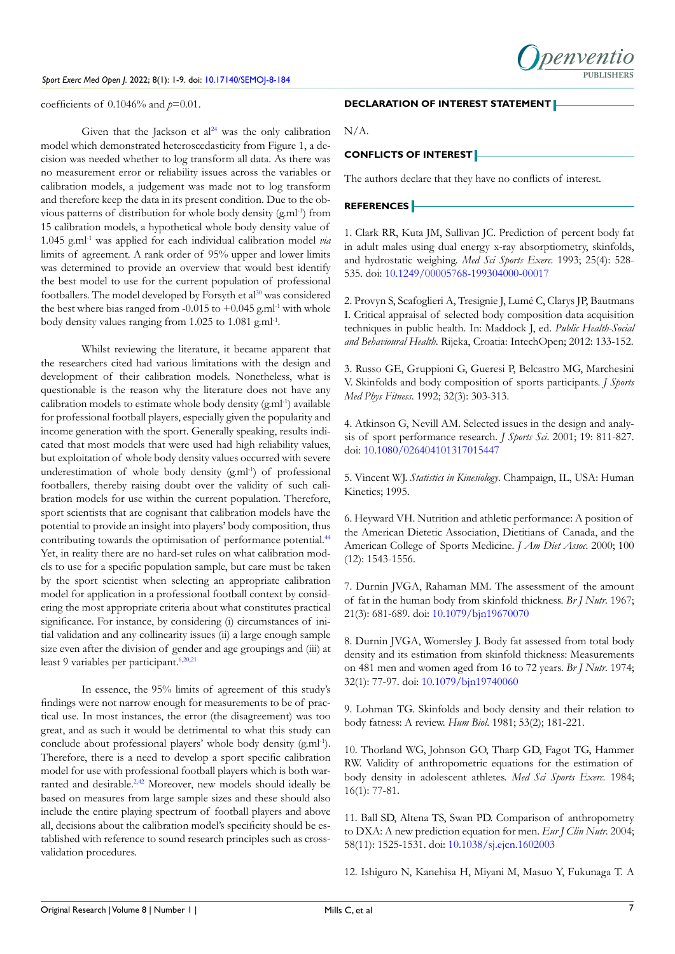

coefficients of 0.1046% and *p*=0.01.

Given that the Jackson et  $al<sup>24</sup>$  was the only calibration model which demonstrated heteroscedasticity from Figure 1, a decision was needed whether to log transform all data. As there was no measurement error or reliability issues across the variables or calibration models, a judgement was made not to log transform and therefore keep the data in its present condition. Due to the obvious patterns of distribution for whole body density (g.ml-1) from 15 calibration models, a hypothetical whole body density value of 1.045 g.ml-1 was applied for each individual calibration model *via* limits of agreement. A rank order of 95% upper and lower limits was determined to provide an overview that would best identify the best model to use for the current population of professional footballers. The model developed by Forsyth et al<sup>[30](#page-7-14)</sup> was considered the best where bias ranged from -0.015 to  $+0.045$  g.ml<sup>-1</sup> with whole body density values ranging from 1.025 to 1.081 g.ml<sup>-1</sup>.

Whilst reviewing the literature, it became apparent that the researchers cited had various limitations with the design and development of their calibration models. Nonetheless, what is questionable is the reason why the literature does not have any calibration models to estimate whole body density  $(g.m<sup>1</sup>)$  available for professional football players, especially given the popularity and income generation with the sport. Generally speaking, results indicated that most models that were used had high reliability values, but exploitation of whole body density values occurred with severe underestimation of whole body density (g.ml<sup>-1</sup>) of professional footballers, thereby raising doubt over the validity of such calibration models for use within the current population. Therefore, sport scientists that are cognisant that calibration models have the potential to provide an insight into players' body composition, thus contributing towards the optimisation of performance potential.<sup>44</sup> Yet, in reality there are no hard-set rules on what calibration models to use for a specific population sample, but care must be taken by the sport scientist when selecting an appropriate calibration model for application in a professional football context by considering the most appropriate criteria about what constitutes practical significance. For instance, by considering (i) circumstances of initial validation and any collinearity issues (ii) a large enough sample size even after the division of gender and age groupings and (iii) at least 9 variables per participant.<sup>[6,](#page-6-3)[20,21](#page-7-4)</sup>

In essence, the 95% limits of agreement of this study's findings were not narrow enough for measurements to be of practical use. In most instances, the error (the disagreement) was too great, and as such it would be detrimental to what this study can conclude about professional players' whole body density (g.ml<sup>-1</sup>). Therefore, there is a need to develop a sport specific calibration model for use with professional football players which is both war-ranted and desirable.<sup>[2,](#page-6-1)[42](#page-8-3)</sup> Moreover, new models should ideally be based on measures from large sample sizes and these should also include the entire playing spectrum of football players and above all, decisions about the calibration model's specificity should be established with reference to sound research principles such as crossvalidation procedures.

#### **DECLARATION OF INTEREST STATEMENT**

N/A.

# **CONFLICTS OF INTEREST**

The authors declare that they have no conflicts of interest.

# **REFERENCES**

<span id="page-6-0"></span>1. Clark RR, Kuta JM, Sullivan JC. Prediction of percent body fat in adult males using dual energy x-ray absorptiometry, skinfolds, and hydrostatic weighing. *Med Sci Sports Exerc*. 1993; 25(4): 528- 535. doi: [10.1249/00005768-199304000-00017](http://doi.org/10.1249/00005768-199304000-00017)

<span id="page-6-1"></span>2. Provyn S, Scafoglieri A, Tresignie J, Lumé C, Clarys JP, Bautmans I. Critical appraisal of selected body composition data acquisition techniques in public health. In: Maddock J, ed. *Public Health-Social and Behavioural Health*. Rijeka, Croatia: IntechOpen; 2012: 133-152.

3. Russo GE, Gruppioni G, Gueresi P, Belcastro MG, Marchesini V. Skinfolds and body composition of sports participants. *J Sports Med Phys Fitness*. 1992; 32(3): 303-313.

<span id="page-6-2"></span>4. Atkinson G, Nevill AM. Selected issues in the design and analysis of sport performance research. *J Sports Sci*. 2001; 19: 811-827. doi: [10.1080/026404101317015447](http://doi.org/10.1080/026404101317015447)

5. Vincent WJ. *Statistics in Kinesiology*. Champaign, IL, USA: Human Kinetics; 1995.

<span id="page-6-3"></span>6. Heyward VH. Nutrition and athletic performance: A position of the American Dietetic Association, Dietitians of Canada, and the American College of Sports Medicine. *J Am Diet Assoc*. 2000; 100 (12): 1543-1556.

<span id="page-6-4"></span>7. Durnin JVGA, Rahaman MM. The assessment of the amount of fat in the human body from skinfold thickness. *Br J Nutr*. 1967; 21(3): 681-689. doi: [10.1079/bjn19670070](http://doi.org/10.1079/bjn19670070)

<span id="page-6-6"></span>8. Durnin JVGA, Womersley J. Body fat assessed from total body density and its estimation from skinfold thickness: Measurements on 481 men and women aged from 16 to 72 years. *Br J Nutr*. 1974; 32(1): 77-97. doi: [10.1079/bjn19740060](http://doi.org/10.1079/bjn19740060)

<span id="page-6-7"></span>9. Lohman TG. Skinfolds and body density and their relation to body fatness: A review. *Hum Biol*. 1981; 53(2); 181-221.

<span id="page-6-8"></span>10. Thorland WG, Johnson GO, Tharp GD, Fagot TG, Hammer RW. Validity of anthropometric equations for the estimation of body density in adolescent athletes. *Med Sci Sports Exerc*. 1984; 16(1): 77-81.

<span id="page-6-5"></span>11. Ball SD, Altena TS, Swan PD. Comparison of anthropometry to DXA: A new prediction equation for men. *Eur J Clin Nutr*. 2004; 58(11): 1525-1531. doi: [10.1038/sj.ejcn.1602003](http://doi.org/10.1038/sj.ejcn.1602003)

12. Ishiguro N, Kanehisa H, Miyani M, Masuo Y, Fukunaga T. A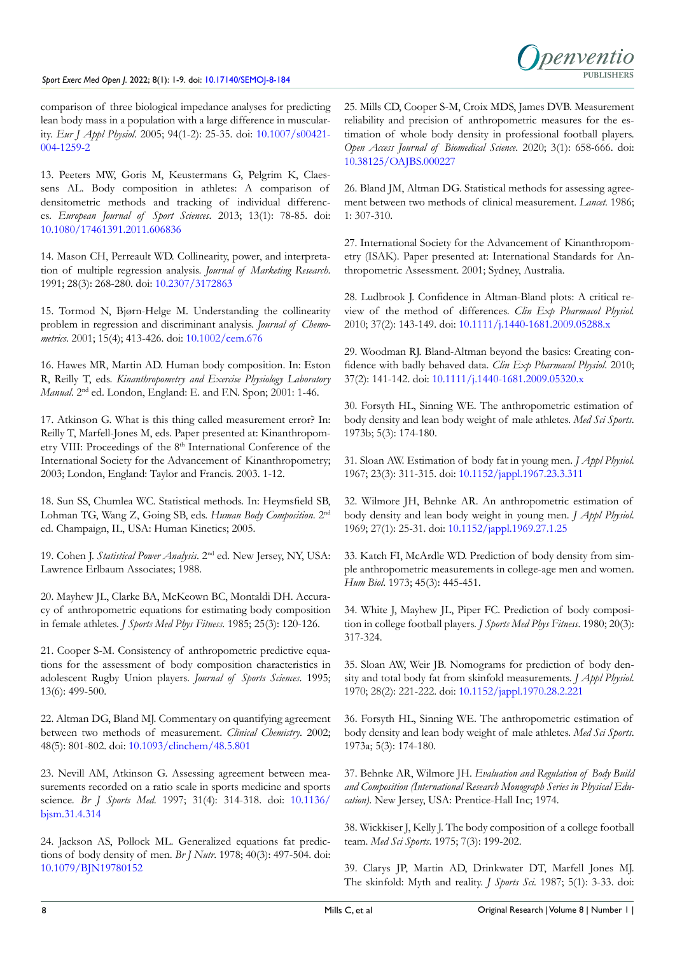

comparison of three biological impedance analyses for predicting lean body mass in a population with a large difference in muscularity. *Eur J Appl Physiol*. 2005; 94(1-2): 25-35. doi: [10.1007/s00421-](http://doi.org/10.1007/s00421-004-1259-2) [004-1259-2](http://doi.org/10.1007/s00421-004-1259-2)

13. Peeters MW, Goris M, Keustermans G, Pelgrim K, Claessens AL. Body composition in athletes: A comparison of densitometric methods and tracking of individual differences. *European Journal of Sport Sciences*. 2013; 13(1): 78-85. doi: [10.1080/17461391.2011.606836](http://doi.org/10.1080/17461391.2011.606836)

<span id="page-7-0"></span>14. Mason CH, Perreault WD. Collinearity, power, and interpretation of multiple regression analysis. *Journal of Marketing Research*. 1991; 28(3): 268-280. doi: [10.2307/3172863](http://doi.org/10.2307/3172863)

15. Tormod N, Bjørn-Helge M. Understanding the collinearity problem in regression and discriminant analysis. *Journal of Chemometrics*. 2001; 15(4); 413-426. doi: [10.1002/cem.676](http://doi.org/10.1002/cem.676)

<span id="page-7-1"></span>16. Hawes MR, Martin AD. Human body composition. In: Eston R, Reilly T, eds. *Kinanthropometry and Exercise Physiology Laboratory Manual*. 2nd ed. London, England: E. and F.N. Spon; 2001: 1-46.

<span id="page-7-2"></span>17. Atkinson G. What is this thing called measurement error? In: Reilly T, Marfell-Jones M, eds. Paper presented at: Kinanthropometry VIII: Proceedings of the 8<sup>th</sup> International Conference of the International Society for the Advancement of Kinanthropometry; 2003; London, England: Taylor and Francis. 2003. 1-12.

<span id="page-7-3"></span>18. Sun SS, Chumlea WC. Statistical methods. In: Heymsfield SB, Lohman TG, Wang Z, Going SB, eds. *Human Body Composition*. 2nd ed. Champaign, IL, USA: Human Kinetics; 2005.

19. Cohen J. *Statistical Power Analysis*. 2nd ed. New Jersey, NY, USA: Lawrence Erlbaum Associates; 1988.

<span id="page-7-4"></span>20. Mayhew JL, Clarke BA, McKeown BC, Montaldi DH. Accuracy of anthropometric equations for estimating body composition in female athletes. *J Sports Med Phys Fitness*. 1985; 25(3): 120-126.

<span id="page-7-19"></span>21. Cooper S-M. Consistency of anthropometric predictive equations for the assessment of body composition characteristics in adolescent Rugby Union players. *Journal of Sports Sciences*. 1995; 13(6): 499-500.

<span id="page-7-6"></span>22. Altman DG, Bland MJ. Commentary on quantifying agreement between two methods of measurement. *Clinical Chemistry*. 2002; 48(5): 801-802. doi: [10.1093/clinchem/48.5.801](http://doi.org/10.1093/clinchem/48.5.801)

<span id="page-7-7"></span>23. Nevill AM, Atkinson G. Assessing agreement between measurements recorded on a ratio scale in sports medicine and sports science. *Br J Sports Med*. 1997; 31(4): 314-318. doi: [10.1136/](http://doi.org/10.1136/bjsm.31.4.314) [bjsm.31.4.314](http://doi.org/10.1136/bjsm.31.4.314)

<span id="page-7-8"></span>24. Jackson AS, Pollock ML. Generalized equations fat predictions of body density of men. *Br J Nutr*. 1978; 40(3): 497-504. doi: [10.1079/BJN19780152](http://doi.org/10.1079/BJN19780152)

<span id="page-7-9"></span>25. Mills CD, Cooper S-M, Croix MDS, James DVB. Measurement reliability and precision of anthropometric measures for the estimation of whole body density in professional football players. *Open Access Journal of Biomedical Science*. 2020; 3(1): 658-666. doi: [10.38125/OAJBS.000227](http://doi.org/10.38125/OAJBS.000227)

<span id="page-7-5"></span>26. Bland JM, Altman DG. Statistical methods for assessing agreement between two methods of clinical measurement. *Lancet.* 1986; 1: 307-310.

<span id="page-7-18"></span>27. International Society for the Advancement of Kinanthropometry (ISAK). Paper presented at: International Standards for Anthropometric Assessment. 2001; Sydney, Australia.

28. Ludbrook J. Confidence in Altman-Bland plots: A critical review of the method of differences. *Clin Exp Pharmacol Physiol.* 2010; 37(2): 143-149. doi: [10.1111/j.1440-1681.2009.05288.x](http://doi.org/10.1111/j.1440-1681.2009.05288.x)

29. Woodman RJ. Bland-Altman beyond the basics: Creating confidence with badly behaved data. *Clin Exp Pharmacol Physiol*. 2010; 37(2): 141-142. doi: [10.1111/j.1440-1681.2009.05320.x](http://doi.org/10.1111/j.1440-1681.2009.05320.x)

<span id="page-7-14"></span>30. Forsyth HL, Sinning WE. The anthropometric estimation of body density and lean body weight of male athletes. *Med Sci Sports*. 1973b; 5(3): 174-180.

<span id="page-7-10"></span>31. Sloan AW. Estimation of body fat in young men. *J Appl Physiol*. 1967; 23(3): 311-315. doi: [10.1152/jappl.1967.23.3.311](http://doi.org/10.1152/jappl.1967.23.3.311)

<span id="page-7-11"></span>32. Wilmore JH, Behnke AR. An anthropometric estimation of body density and lean body weight in young men. *J Appl Physiol*. 1969; 27(1): 25-31. doi: [10.1152/jappl.1969.27.1.25](http://doi.org/10.1152/jappl.1969.27.1.25)

<span id="page-7-15"></span>33. Katch FI, McArdle WD. Prediction of body density from simple anthropometric measurements in college-age men and women. *Hum Biol*. 1973; 45(3): 445-451.

<span id="page-7-20"></span>34. White J, Mayhew JL, Piper FC. Prediction of body composition in college football players. *J Sports Med Phys Fitness*. 1980; 20(3): 317-324.

<span id="page-7-12"></span>35. Sloan AW, Weir JB. Nomograms for prediction of body density and total body fat from skinfold measurements. *J Appl Physiol*. 1970; 28(2): 221-222. doi: [10.1152/jappl.1970.28.2.221](http://doi.org/10.1152/jappl.1970.28.2.221)

<span id="page-7-13"></span>36. Forsyth HL, Sinning WE. The anthropometric estimation of body density and lean body weight of male athletes. *Med Sci Sports*. 1973a; 5(3): 174-180.

<span id="page-7-16"></span>37. Behnke AR, Wilmore JH. *Evaluation and Regulation of Body Build and Composition (International Research Monograph Series in Physical Education)*. New Jersey, USA: Prentice-Hall Inc; 1974.

<span id="page-7-17"></span>38. Wickkiser J, Kelly J. The body composition of a college football team. *Med Sci Sports*. 1975; 7(3): 199-202.

<span id="page-7-21"></span>39. Clarys JP, Martin AD, Drinkwater DT, Marfell Jones MJ. The skinfold: Myth and reality. *J Sports Sci*. 1987; 5(1): 3-33. doi: